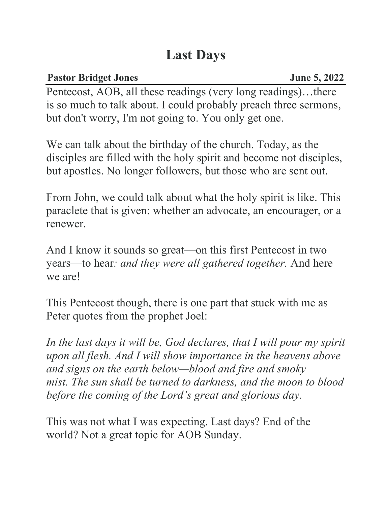## **Last Days**

**Pastor Bridget Jones** June 5, 2022 Pentecost, AOB, all these readings (very long readings)…there is so much to talk about. I could probably preach three sermons, but don't worry, I'm not going to. You only get one.

We can talk about the birthday of the church. Today, as the disciples are filled with the holy spirit and become not disciples, but apostles. No longer followers, but those who are sent out.

From John, we could talk about what the holy spirit is like. This paraclete that is given: whether an advocate, an encourager, or a renewer.

And I know it sounds so great—on this first Pentecost in two years—to hear*: and they were all gathered together.* And here we are!

This Pentecost though, there is one part that stuck with me as Peter quotes from the prophet Joel:

*In the last days it will be, God declares, that I will pour my spirit upon all flesh. And I will show importance in the heavens above and signs on the earth below—blood and fire and smoky mist. The sun shall be turned to darkness, and the moon to blood before the coming of the Lord's great and glorious day.*

This was not what I was expecting. Last days? End of the world? Not a great topic for AOB Sunday.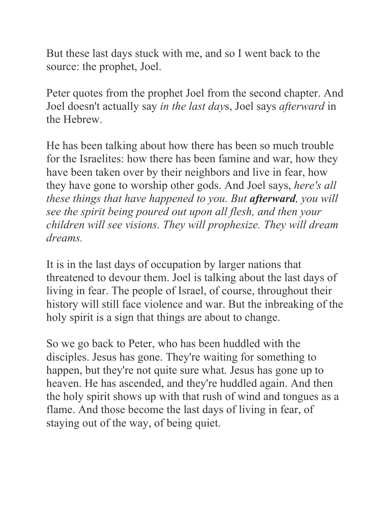But these last days stuck with me, and so I went back to the source: the prophet, Joel.

Peter quotes from the prophet Joel from the second chapter. And Joel doesn't actually say *in the last day*s, Joel says *afterward* in the Hebrew.

He has been talking about how there has been so much trouble for the Israelites: how there has been famine and war, how they have been taken over by their neighbors and live in fear, how they have gone to worship other gods. And Joel says, *here's all these things that have happened to you. But afterward, you will see the spirit being poured out upon all flesh, and then your children will see visions. They will prophesize. They will dream dreams.*

It is in the last days of occupation by larger nations that threatened to devour them. Joel is talking about the last days of living in fear. The people of Israel, of course, throughout their history will still face violence and war. But the inbreaking of the holy spirit is a sign that things are about to change.

So we go back to Peter, who has been huddled with the disciples. Jesus has gone. They're waiting for something to happen, but they're not quite sure what. Jesus has gone up to heaven. He has ascended, and they're huddled again. And then the holy spirit shows up with that rush of wind and tongues as a flame. And those become the last days of living in fear, of staying out of the way, of being quiet.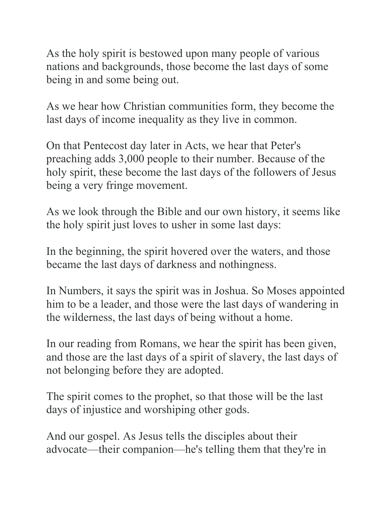As the holy spirit is bestowed upon many people of various nations and backgrounds, those become the last days of some being in and some being out.

As we hear how Christian communities form, they become the last days of income inequality as they live in common.

On that Pentecost day later in Acts, we hear that Peter's preaching adds 3,000 people to their number. Because of the holy spirit, these become the last days of the followers of Jesus being a very fringe movement.

As we look through the Bible and our own history, it seems like the holy spirit just loves to usher in some last days:

In the beginning, the spirit hovered over the waters, and those became the last days of darkness and nothingness.

In Numbers, it says the spirit was in Joshua. So Moses appointed him to be a leader, and those were the last days of wandering in the wilderness, the last days of being without a home.

In our reading from Romans, we hear the spirit has been given, and those are the last days of a spirit of slavery, the last days of not belonging before they are adopted.

The spirit comes to the prophet, so that those will be the last days of injustice and worshiping other gods.

And our gospel. As Jesus tells the disciples about their advocate—their companion—he's telling them that they're in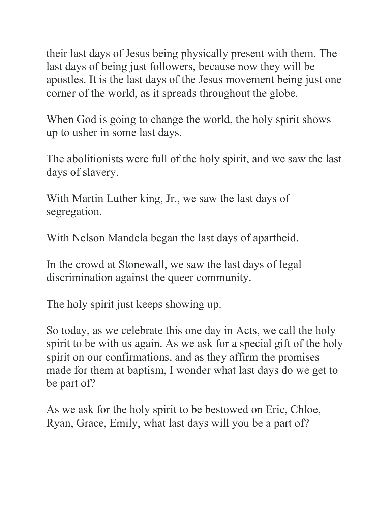their last days of Jesus being physically present with them. The last days of being just followers, because now they will be apostles. It is the last days of the Jesus movement being just one corner of the world, as it spreads throughout the globe.

When God is going to change the world, the holy spirit shows up to usher in some last days.

The abolitionists were full of the holy spirit, and we saw the last days of slavery.

With Martin Luther king, Jr., we saw the last days of segregation.

With Nelson Mandela began the last days of apartheid.

In the crowd at Stonewall, we saw the last days of legal discrimination against the queer community.

The holy spirit just keeps showing up.

So today, as we celebrate this one day in Acts, we call the holy spirit to be with us again. As we ask for a special gift of the holy spirit on our confirmations, and as they affirm the promises made for them at baptism, I wonder what last days do we get to be part of?

As we ask for the holy spirit to be bestowed on Eric, Chloe, Ryan, Grace, Emily, what last days will you be a part of?